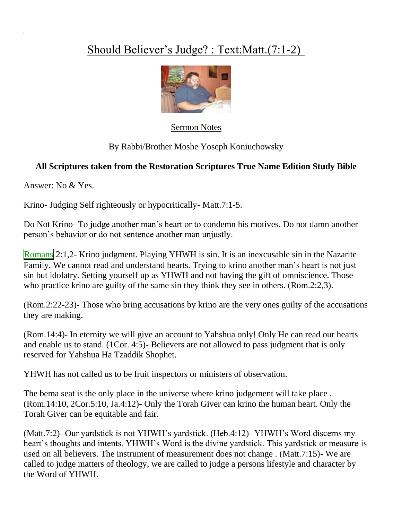## Should Believer's Judge? : Text:Matt.(7:1-2)



Sermon Notes

## By Rabbi/Brother Moshe Yoseph Koniuchowsky

## **All Scriptures taken from the Restoration Scriptures True Name Edition Study Bible**

Answer: No & Yes.

Krino- Judging Self righteously or hypocritically- Matt.7:1-5.

Do Not Krino- To judge another man's heart or to condemn his motives. Do not damn another person's behavior or do not sentence another man unjustly.

Romans 2:1,2- Krino judgment. Playing YHWH is sin. It is an inexcusable sin in the Nazarite Family. We cannot read and understand hearts. Trying to krino another man's heart is not just sin but idolatry. Setting yourself up as YHWH and not having the gift of omniscience. Those who practice krino are guilty of the same sin they think they see in others. (Rom.2:2,3).

(Rom.2:22-23)- Those who bring accusations by krino are the very ones guilty of the accusations they are making.

(Rom.14:4)- In eternity we will give an account to Yahshua only! Only He can read our hearts and enable us to stand. (1Cor. 4:5)- Believers are not allowed to pass judgment that is only reserved for Yahshua Ha Tzaddik Shophet.

YHWH has not called us to be fruit inspectors or ministers of observation.

The bema seat is the only place in the universe where krino judgement will take place. (Rom.14:10, 2Cor.5:10, Ja.4:12)- Only the Torah Giver can krino the human heart. Only the Torah Giver can be equitable and fair.

(Matt.7:2)- Our yardstick is not YHWH's yardstick. (Heb.4:12)- YHWH's Word discerns my heart's thoughts and intents. YHWH's Word is the divine yardstick. This yardstick or measure is used on all believers. The instrument of measurement does not change . (Matt.7:15)- We are called to judge matters of theology, we are called to judge a persons lifestyle and character by the Word of YHWH.